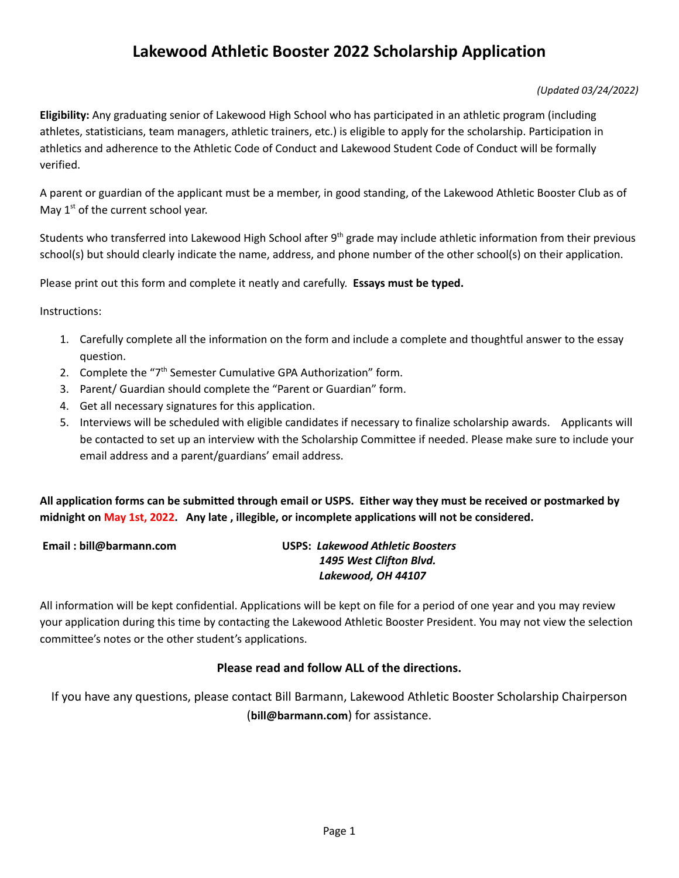#### *(Updated 03/24/2022)*

**Eligibility:** Any graduating senior of Lakewood High School who has participated in an athletic program (including athletes, statisticians, team managers, athletic trainers, etc.) is eligible to apply for the scholarship. Participation in athletics and adherence to the Athletic Code of Conduct and Lakewood Student Code of Conduct will be formally verified.

A parent or guardian of the applicant must be a member, in good standing, of the Lakewood Athletic Booster Club as of May  $1<sup>st</sup>$  of the current school year.

Students who transferred into Lakewood High School after 9<sup>th</sup> grade may include athletic information from their previous school(s) but should clearly indicate the name, address, and phone number of the other school(s) on their application.

Please print out this form and complete it neatly and carefully. **Essays must be typed.**

Instructions:

- 1. Carefully complete all the information on the form and include a complete and thoughtful answer to the essay question.
- 2. Complete the "7<sup>th</sup> Semester Cumulative GPA Authorization" form.
- 3. Parent/ Guardian should complete the "Parent or Guardian" form.
- 4. Get all necessary signatures for this application.
- 5. Interviews will be scheduled with eligible candidates if necessary to finalize scholarship awards. Applicants will be contacted to set up an interview with the Scholarship Committee if needed. Please make sure to include your email address and a parent/guardians' email address.

All application forms can be submitted through email or USPS. Either way they must be received or postmarked by **midnight on May 1st, 2022. Any late , illegible, or incomplete applications will not be considered.**

#### **Email : bill@barmann.com USPS:** *Lakewood Athletic Boosters 1495 West Clifton Blvd. Lakewood, OH 44107*

All information will be kept confidential. Applications will be kept on file for a period of one year and you may review your application during this time by contacting the Lakewood Athletic Booster President. You may not view the selection committee's notes or the other student's applications.

#### **Please read and follow ALL of the directions.**

If you have any questions, please contact Bill Barmann, Lakewood Athletic Booster Scholarship Chairperson (**bill@barmann.com**) for assistance.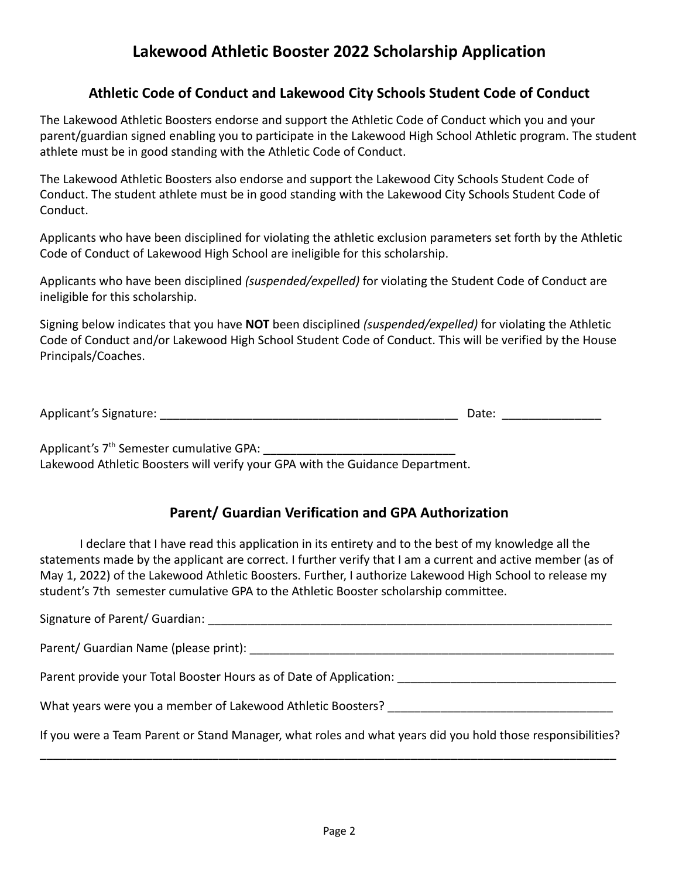### **Athletic Code of Conduct and Lakewood City Schools Student Code of Conduct**

The Lakewood Athletic Boosters endorse and support the Athletic Code of Conduct which you and your parent/guardian signed enabling you to participate in the Lakewood High School Athletic program. The student athlete must be in good standing with the Athletic Code of Conduct.

The Lakewood Athletic Boosters also endorse and support the Lakewood City Schools Student Code of Conduct. The student athlete must be in good standing with the Lakewood City Schools Student Code of Conduct.

Applicants who have been disciplined for violating the athletic exclusion parameters set forth by the Athletic Code of Conduct of Lakewood High School are ineligible for this scholarship.

Applicants who have been disciplined *(suspended/expelled)* for violating the Student Code of Conduct are ineligible for this scholarship.

Signing below indicates that you have **NOT** been disciplined *(suspended/expelled)* for violating the Athletic Code of Conduct and/or Lakewood High School Student Code of Conduct. This will be verified by the House Principals/Coaches.

| Applicant's Signature: | Date: |  |
|------------------------|-------|--|
|                        |       |  |

Applicant's 7<sup>th</sup> Semester cumulative GPA: Lakewood Athletic Boosters will verify your GPA with the Guidance Department.

### **Parent/ Guardian Verification and GPA Authorization**

I declare that I have read this application in its entirety and to the best of my knowledge all the statements made by the applicant are correct. I further verify that I am a current and active member (as of May 1, 2022) of the Lakewood Athletic Boosters. Further, I authorize Lakewood High School to release my student's 7th semester cumulative GPA to the Athletic Booster scholarship committee.

| Signature of Parent/ Guardian:                                                                             |
|------------------------------------------------------------------------------------------------------------|
| Parent/ Guardian Name (please print):                                                                      |
| Parent provide your Total Booster Hours as of Date of Application:                                         |
| What years were you a member of Lakewood Athletic Boosters?                                                |
| If you were a Team Parent or Stand Manager, what roles and what years did you hold those responsibilities? |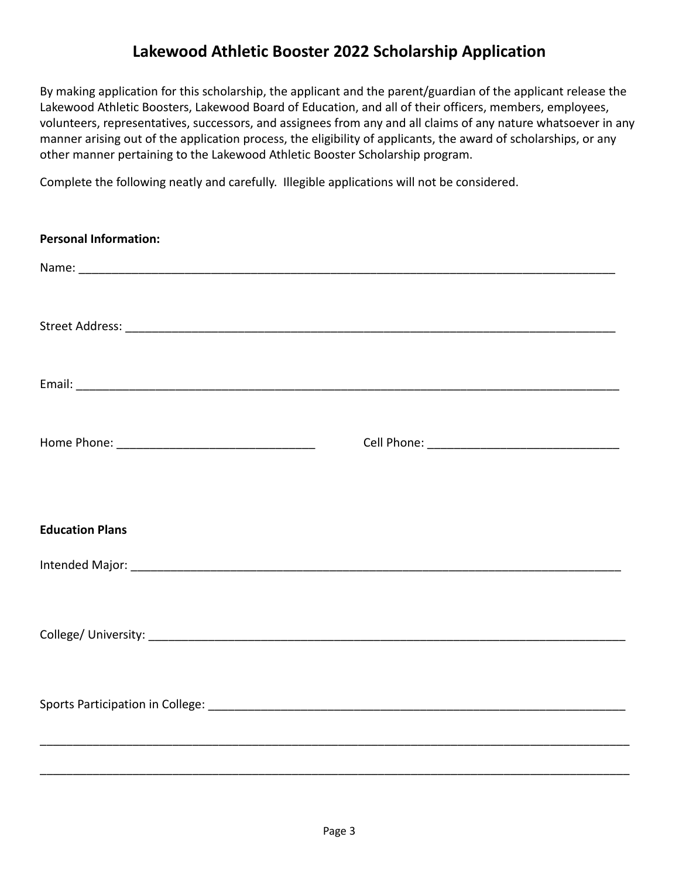By making application for this scholarship, the applicant and the parent/guardian of the applicant release the Lakewood Athletic Boosters, Lakewood Board of Education, and all of their officers, members, employees, volunteers, representatives, successors, and assignees from any and all claims of any nature whatsoever in any manner arising out of the application process, the eligibility of applicants, the award of scholarships, or any other manner pertaining to the Lakewood Athletic Booster Scholarship program.

Complete the following neatly and carefully. Illegible applications will not be considered.

| <b>Personal Information:</b> |  |
|------------------------------|--|
|                              |  |
|                              |  |
|                              |  |
|                              |  |
| <b>Education Plans</b>       |  |
|                              |  |
|                              |  |
|                              |  |
|                              |  |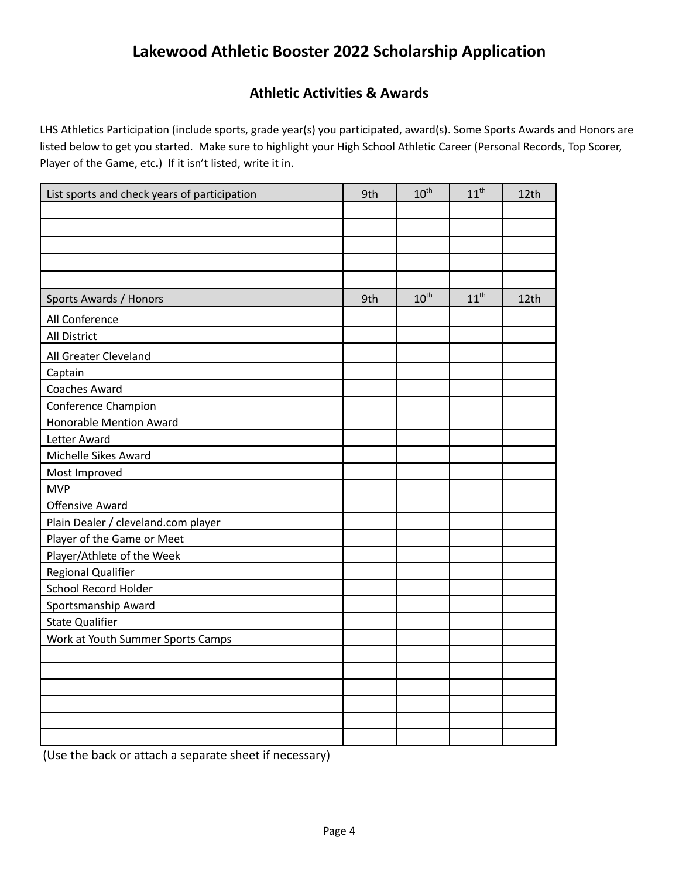### **Athletic Activities & Awards**

LHS Athletics Participation (include sports, grade year(s) you participated, award(s). Some Sports Awards and Honors are listed below to get you started. Make sure to highlight your High School Athletic Career (Personal Records, Top Scorer, Player of the Game, etc**.**) If it isn't listed, write it in.

| List sports and check years of participation | 9th | 10 <sup>th</sup> | $11^{th}$        | 12th |
|----------------------------------------------|-----|------------------|------------------|------|
|                                              |     |                  |                  |      |
|                                              |     |                  |                  |      |
|                                              |     |                  |                  |      |
|                                              |     |                  |                  |      |
|                                              |     |                  |                  |      |
| Sports Awards / Honors                       | 9th | $10^{\text{th}}$ | $11^{\text{th}}$ | 12th |
| All Conference                               |     |                  |                  |      |
| <b>All District</b>                          |     |                  |                  |      |
| All Greater Cleveland                        |     |                  |                  |      |
| Captain                                      |     |                  |                  |      |
| <b>Coaches Award</b>                         |     |                  |                  |      |
| <b>Conference Champion</b>                   |     |                  |                  |      |
| <b>Honorable Mention Award</b>               |     |                  |                  |      |
| Letter Award                                 |     |                  |                  |      |
| Michelle Sikes Award                         |     |                  |                  |      |
| Most Improved                                |     |                  |                  |      |
| <b>MVP</b>                                   |     |                  |                  |      |
| <b>Offensive Award</b>                       |     |                  |                  |      |
| Plain Dealer / cleveland.com player          |     |                  |                  |      |
| Player of the Game or Meet                   |     |                  |                  |      |
| Player/Athlete of the Week                   |     |                  |                  |      |
| Regional Qualifier                           |     |                  |                  |      |
| School Record Holder                         |     |                  |                  |      |
| Sportsmanship Award                          |     |                  |                  |      |
| <b>State Qualifier</b>                       |     |                  |                  |      |
| Work at Youth Summer Sports Camps            |     |                  |                  |      |
|                                              |     |                  |                  |      |
|                                              |     |                  |                  |      |
|                                              |     |                  |                  |      |
|                                              |     |                  |                  |      |
|                                              |     |                  |                  |      |
|                                              |     |                  |                  |      |

(Use the back or attach a separate sheet if necessary)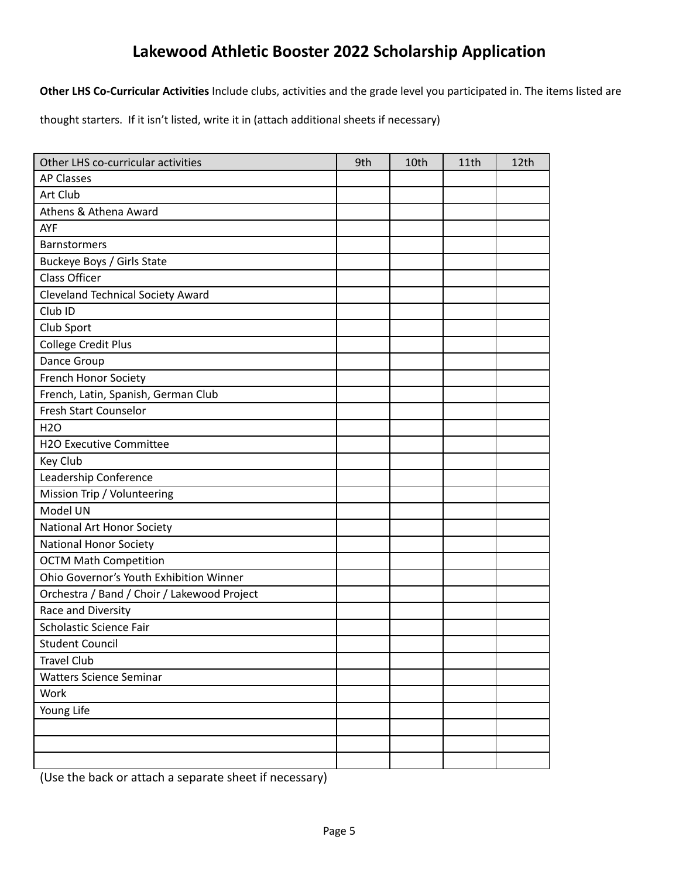**Other LHS Co-Curricular Activities** Include clubs, activities and the grade level you participated in. The items listed are

thought starters. If it isn't listed, write it in (attach additional sheets if necessary)

| Other LHS co-curricular activities          | 9th | 10th | 11th | 12th |
|---------------------------------------------|-----|------|------|------|
| <b>AP Classes</b>                           |     |      |      |      |
| Art Club                                    |     |      |      |      |
| Athens & Athena Award                       |     |      |      |      |
| AYF                                         |     |      |      |      |
| Barnstormers                                |     |      |      |      |
| Buckeye Boys / Girls State                  |     |      |      |      |
| <b>Class Officer</b>                        |     |      |      |      |
| <b>Cleveland Technical Society Award</b>    |     |      |      |      |
| Club <sub>ID</sub>                          |     |      |      |      |
| Club Sport                                  |     |      |      |      |
| <b>College Credit Plus</b>                  |     |      |      |      |
| Dance Group                                 |     |      |      |      |
| French Honor Society                        |     |      |      |      |
| French, Latin, Spanish, German Club         |     |      |      |      |
| <b>Fresh Start Counselor</b>                |     |      |      |      |
| H2O                                         |     |      |      |      |
| H2O Executive Committee                     |     |      |      |      |
| Key Club                                    |     |      |      |      |
| Leadership Conference                       |     |      |      |      |
| Mission Trip / Volunteering                 |     |      |      |      |
| Model UN                                    |     |      |      |      |
| National Art Honor Society                  |     |      |      |      |
| <b>National Honor Society</b>               |     |      |      |      |
| <b>OCTM Math Competition</b>                |     |      |      |      |
| Ohio Governor's Youth Exhibition Winner     |     |      |      |      |
| Orchestra / Band / Choir / Lakewood Project |     |      |      |      |
| Race and Diversity                          |     |      |      |      |
| Scholastic Science Fair                     |     |      |      |      |
| <b>Student Council</b>                      |     |      |      |      |
| <b>Travel Club</b>                          |     |      |      |      |
| <b>Watters Science Seminar</b>              |     |      |      |      |
| Work                                        |     |      |      |      |
| Young Life                                  |     |      |      |      |
|                                             |     |      |      |      |
|                                             |     |      |      |      |
|                                             |     |      |      |      |

(Use the back or attach a separate sheet if necessary)